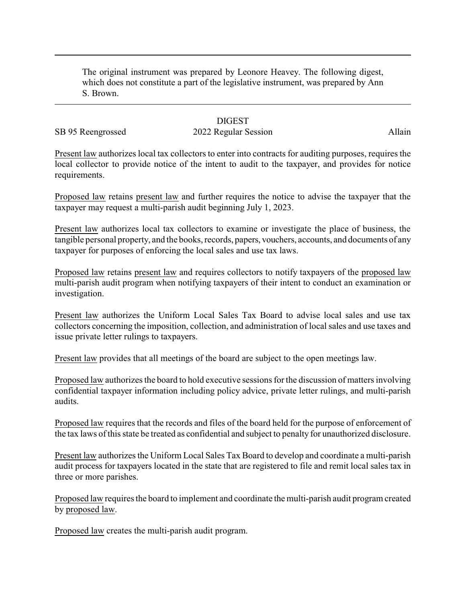The original instrument was prepared by Leonore Heavey. The following digest, which does not constitute a part of the legislative instrument, was prepared by Ann S. Brown.

## **DIGEST**

## SB 95 Reengrossed 2022 Regular Session Allain

Present law authorizes local tax collectors to enter into contracts for auditing purposes, requires the local collector to provide notice of the intent to audit to the taxpayer, and provides for notice requirements.

Proposed law retains present law and further requires the notice to advise the taxpayer that the taxpayer may request a multi-parish audit beginning July 1, 2023.

Present law authorizes local tax collectors to examine or investigate the place of business, the tangible personal property, and the books, records, papers, vouchers, accounts, and documents of any taxpayer for purposes of enforcing the local sales and use tax laws.

Proposed law retains present law and requires collectors to notify taxpayers of the proposed law multi-parish audit program when notifying taxpayers of their intent to conduct an examination or investigation.

Present law authorizes the Uniform Local Sales Tax Board to advise local sales and use tax collectors concerning the imposition, collection, and administration of local sales and use taxes and issue private letter rulings to taxpayers.

Present law provides that all meetings of the board are subject to the open meetings law.

Proposed law authorizes the board to hold executive sessions for the discussion of matters involving confidential taxpayer information including policy advice, private letter rulings, and multi-parish audits.

Proposed law requires that the records and files of the board held for the purpose of enforcement of the tax laws of this state be treated as confidential and subject to penalty for unauthorized disclosure.

Present law authorizes the Uniform Local Sales Tax Board to develop and coordinate a multi-parish audit process for taxpayers located in the state that are registered to file and remit local sales tax in three or more parishes.

Proposed law requires the board to implement and coordinate the multi-parish audit program created by proposed law.

Proposed law creates the multi-parish audit program.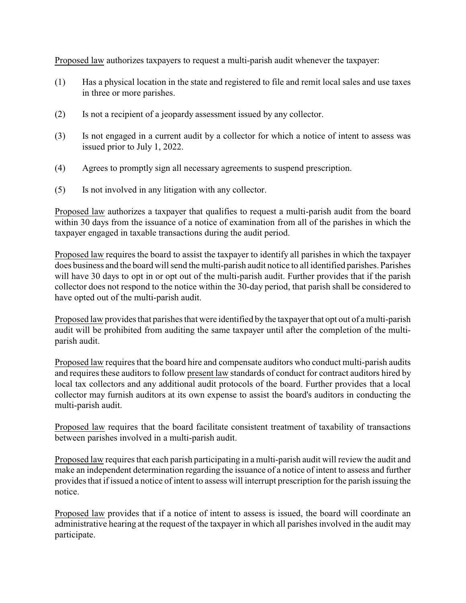Proposed law authorizes taxpayers to request a multi-parish audit whenever the taxpayer:

- (1) Has a physical location in the state and registered to file and remit local sales and use taxes in three or more parishes.
- (2) Is not a recipient of a jeopardy assessment issued by any collector.
- (3) Is not engaged in a current audit by a collector for which a notice of intent to assess was issued prior to July 1, 2022.
- (4) Agrees to promptly sign all necessary agreements to suspend prescription.
- (5) Is not involved in any litigation with any collector.

Proposed law authorizes a taxpayer that qualifies to request a multi-parish audit from the board within 30 days from the issuance of a notice of examination from all of the parishes in which the taxpayer engaged in taxable transactions during the audit period.

Proposed law requires the board to assist the taxpayer to identify all parishes in which the taxpayer does business and the board will send the multi-parish audit notice to all identified parishes. Parishes will have 30 days to opt in or opt out of the multi-parish audit. Further provides that if the parish collector does not respond to the notice within the 30-day period, that parish shall be considered to have opted out of the multi-parish audit.

Proposed law provides that parishes that were identified by the taxpayer that opt out of a multi-parish audit will be prohibited from auditing the same taxpayer until after the completion of the multiparish audit.

Proposed law requires that the board hire and compensate auditors who conduct multi-parish audits and requires these auditors to follow present law standards of conduct for contract auditors hired by local tax collectors and any additional audit protocols of the board. Further provides that a local collector may furnish auditors at its own expense to assist the board's auditors in conducting the multi-parish audit.

Proposed law requires that the board facilitate consistent treatment of taxability of transactions between parishes involved in a multi-parish audit.

Proposed law requires that each parish participating in a multi-parish audit will review the audit and make an independent determination regarding the issuance of a notice of intent to assess and further provides that if issued a notice of intent to assess will interrupt prescription for the parish issuing the notice.

Proposed law provides that if a notice of intent to assess is issued, the board will coordinate an administrative hearing at the request of the taxpayer in which all parishes involved in the audit may participate.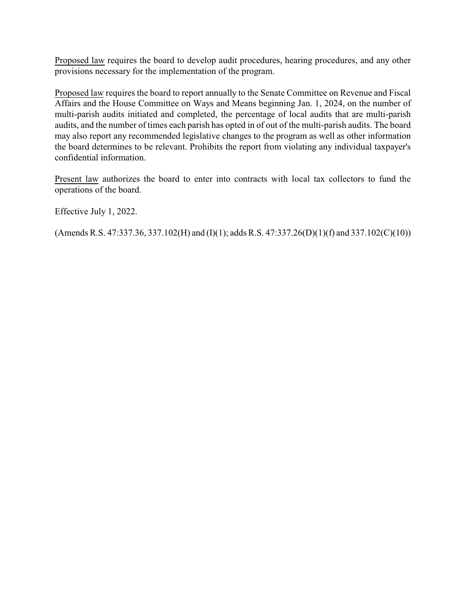Proposed law requires the board to develop audit procedures, hearing procedures, and any other provisions necessary for the implementation of the program.

Proposed law requires the board to report annually to the Senate Committee on Revenue and Fiscal Affairs and the House Committee on Ways and Means beginning Jan. 1, 2024, on the number of multi-parish audits initiated and completed, the percentage of local audits that are multi-parish audits, and the number of times each parish has opted in of out of the multi-parish audits. The board may also report any recommended legislative changes to the program as well as other information the board determines to be relevant. Prohibits the report from violating any individual taxpayer's confidential information.

Present law authorizes the board to enter into contracts with local tax collectors to fund the operations of the board.

Effective July 1, 2022.

 $(A$ mends R.S. 47:337.36, 337.102(H) and (I)(1); adds R.S. 47:337.26(D)(1)(f) and 337.102(C)(10))